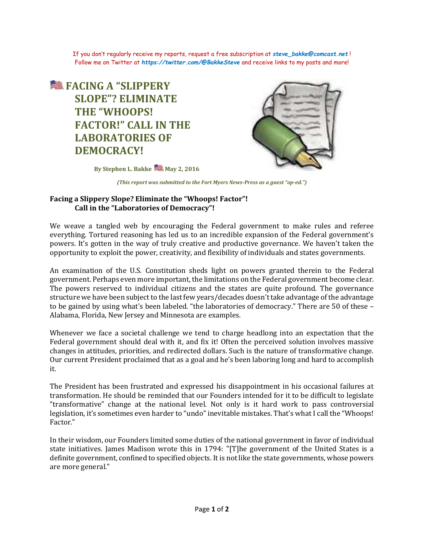If you don't regularly receive my reports, request a free subscription at *[steve\\_bakke@comcast.net](mailto:steve_bakke@comcast.net)* ! Follow me on Twitter at *<https://twitter.com/@BakkeSteve>* and receive links to my posts and more!

## **<u>● FACING A "SLIPPERY</u> SLOPE"? ELIMINATE THE "WHOOPS! FACTOR!" CALL IN THE LABORATORIES OF DEMOCRACY!**



**By Stephen L. Bakke May 2, 2016** 

*(This report was submitted to the Fort Myers News-Press as a guest "op-ed.")*

## **Facing a Slippery Slope? Eliminate the "Whoops! Factor"! Call in the "Laboratories of Democracy"!**

We weave a tangled web by encouraging the Federal government to make rules and referee everything. Tortured reasoning has led us to an incredible expansion of the Federal government's powers. It's gotten in the way of truly creative and productive governance. We haven't taken the opportunity to exploit the power, creativity, and flexibility of individuals and states governments.

An examination of the U.S. Constitution sheds light on powers granted therein to the Federal government. Perhaps even more important, the limitations on the Federal government become clear. The powers reserved to individual citizens and the states are quite profound. The governance structure we have been subject to the last few years/decades doesn't take advantage of the advantage to be gained by using what's been labeled. "the laboratories of democracy." There are 50 of these – Alabama, Florida, New Jersey and Minnesota are examples.

Whenever we face a societal challenge we tend to charge headlong into an expectation that the Federal government should deal with it, and fix it! Often the perceived solution involves massive changes in attitudes, priorities, and redirected dollars. Such is the nature of transformative change. Our current President proclaimed that as a goal and he's been laboring long and hard to accomplish it.

The President has been frustrated and expressed his disappointment in his occasional failures at transformation. He should be reminded that our Founders intended for it to be difficult to legislate "transformative" change at the national level. Not only is it hard work to pass controversial legislation, it's sometimes even harder to "undo" inevitable mistakes. That's what I call the "Whoops! Factor."

In their wisdom, our Founders limited some duties of the national government in favor of individual state initiatives. James Madison wrote this in 1794: "[T]he government of the United States is a definite government, confined to specified objects. It is not like the state governments, whose powers are more general."